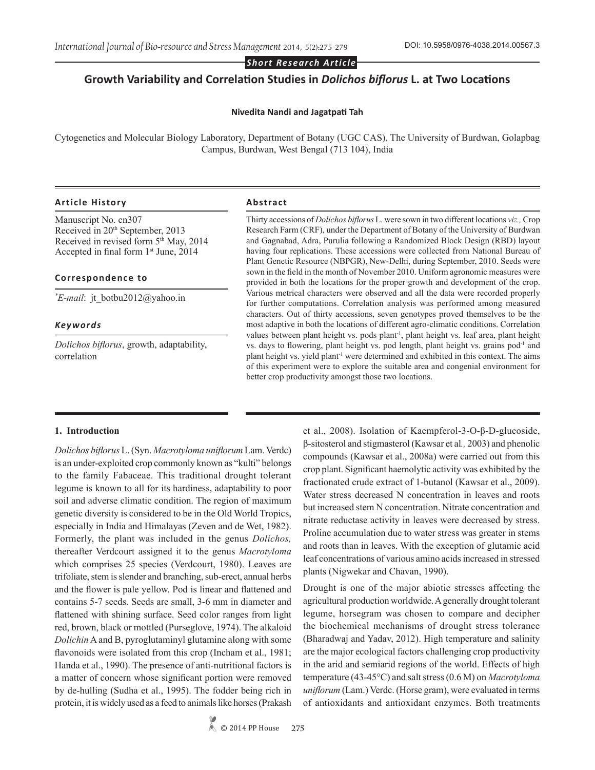*Short Research Article*

# **Growth Variability and Correlation Studies in** *Dolichos biflorus* **L. at Two Locations**

### **Nivedita Nandi and Jagatpati Tah**

Cytogenetics and Molecular Biology Laboratory, Department of Botany (UGC CAS), The University of Burdwan, Golapbag Campus, Burdwan, West Bengal (713 104), India

#### **Article History Abstract**

Manuscript No. cn307 Received in 20<sup>th</sup> September, 2013 Received in revised form 5<sup>th</sup> May, 2014 Accepted in final form 1<sup>st</sup> June, 2014

## **Correspondence to**

*\* E-mail*: jt\_botbu2012@yahoo.in

## *Keywords*

*Dolichos biflorus*, growth, adaptability, correlation

Thirty accessions of *Dolichos biflorus* L. were sown in two different locations *viz.,* Crop Research Farm (CRF), under the Department of Botany of the University of Burdwan and Gagnabad, Adra, Purulia following a Randomized Block Design (RBD) layout having four replications. These accessions were collected from National Bureau of Plant Genetic Resource (NBPGR), New-Delhi, during September, 2010. Seeds were sown in the field in the month of November 2010. Uniform agronomic measures were provided in both the locations for the proper growth and development of the crop. Various metrical characters were observed and all the data were recorded properly for further computations. Correlation analysis was performed among measured characters. Out of thirty accessions, seven genotypes proved themselves to be the most adaptive in both the locations of different agro-climatic conditions. Correlation values between plant height vs. pods plant<sup>-1</sup>, plant height vs. leaf area, plant height vs. days to flowering, plant height vs. pod length, plant height vs. grains pod-1 and plant height vs. yield plant<sup>-1</sup> were determined and exhibited in this context. The aims of this experiment were to explore the suitable area and congenial environment for better crop productivity amongst those two locations.

### **1. Introduction**

*Dolichos biflorus* L. (Syn. *Macrotyloma uniflorum* Lam. Verdc) is an under-exploited crop commonly known as "kulti" belongs to the family Fabaceae. This traditional drought tolerant legume is known to all for its hardiness, adaptability to poor soil and adverse climatic condition. The region of maximum genetic diversity is considered to be in the Old World Tropics, especially in India and Himalayas (Zeven and de Wet, 1982). Formerly, the plant was included in the genus *Dolichos,* thereafter Verdcourt assigned it to the genus *Macrotyloma*  which comprises 25 species (Verdcourt, 1980). Leaves are trifoliate, stem is slender and branching, sub-erect, annual herbs and the flower is pale yellow. Pod is linear and flattened and contains 5-7 seeds. Seeds are small, 3-6 mm in diameter and flattened with shining surface. Seed color ranges from light red, brown, black or mottled (Purseglove, 1974). The alkaloid *Dolichin* A and B, pyroglutaminyl glutamine along with some flavonoids were isolated from this crop (Incham et al., 1981; Handa et al., 1990). The presence of anti-nutritional factors is a matter of concern whose significant portion were removed by de-hulling (Sudha et al., 1995). The fodder being rich in protein, it is widely used as a feed to animals like horses (Prakash et al., 2008). Isolation of Kaempferol-3-O-β-D-glucoside, β-sitosterol and stigmasterol (Kawsar et al*.,* 2003) and phenolic compounds (Kawsar et al., 2008a) were carried out from this crop plant. Significant haemolytic activity was exhibited by the fractionated crude extract of 1-butanol (Kawsar et al., 2009). Water stress decreased N concentration in leaves and roots but increased stem N concentration. Nitrate concentration and nitrate reductase activity in leaves were decreased by stress. Proline accumulation due to water stress was greater in stems and roots than in leaves. With the exception of glutamic acid leaf concentrations of various amino acids increased in stressed plants (Nigwekar and Chavan, 1990).

Drought is one of the major abiotic stresses affecting the agricultural production worldwide. A generally drought tolerant legume, horsegram was chosen to compare and decipher the biochemical mechanisms of drought stress tolerance (Bharadwaj and Yadav, 2012). High temperature and salinity are the major ecological factors challenging crop productivity in the arid and semiarid regions of the world. Effects of high temperature (43-45°C) and salt stress (0.6 M) on *Macrotyloma uniflorum* (Lam.) Verdc. (Horse gram), were evaluated in terms of antioxidants and antioxidant enzymes. Both treatments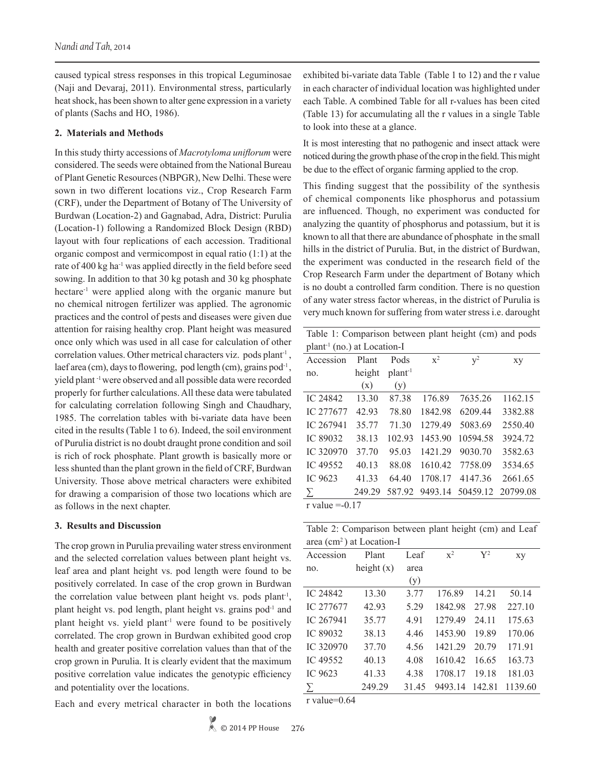caused typical stress responses in this tropical Leguminosae (Naji and Devaraj, 2011). Environmental stress, particularly heat shock, has been shown to alter gene expression in a variety of plants (Sachs and HO, 1986).

## **2. Materials and Methods**

In this study thirty accessions of *Macrotyloma uniflorum* were considered. The seeds were obtained from the National Bureau of Plant Genetic Resources (NBPGR), New Delhi. These were sown in two different locations viz., Crop Research Farm (CRF), under the Department of Botany of The University of Burdwan (Location-2) and Gagnabad, Adra, District: Purulia (Location-1) following a Randomized Block Design (RBD) layout with four replications of each accession. Traditional organic compost and vermicompost in equal ratio (1:1) at the rate of 400 kg ha-1 was applied directly in the field before seed sowing. In addition to that 30 kg potash and 30 kg phosphate hectare<sup>-1</sup> were applied along with the organic manure but no chemical nitrogen fertilizer was applied. The agronomic practices and the control of pests and diseases were given due attention for raising healthy crop. Plant height was measured once only which was used in all case for calculation of other correlation values. Other metrical characters viz. pods plant<sup>-1</sup>, laef area (cm), days to flowering, pod length (cm), grains pod<sup>-1</sup>, yield plant -1 were observed and all possible data were recorded properly for further calculations. All these data were tabulated for calculating correlation following Singh and Chaudhary, 1985. The correlation tables with bi-variate data have been cited in the results (Table 1 to 6). Indeed, the soil environment of Purulia district is no doubt draught prone condition and soil is rich of rock phosphate. Plant growth is basically more or less shunted than the plant grown in the field of CRF, Burdwan University. Those above metrical characters were exhibited for drawing a comparision of those two locations which are as follows in the next chapter.

## **3. Results and Discussion**

The crop grown in Purulia prevailing water stress environment and the selected correlation values between plant height vs. leaf area and plant height vs. pod length were found to be positively correlated. In case of the crop grown in Burdwan the correlation value between plant height vs. pods plant-1, plant height vs. pod length, plant height vs. grains pod<sup>-1</sup> and plant height vs. yield plant<sup>-1</sup> were found to be positively correlated. The crop grown in Burdwan exhibited good crop health and greater positive correlation values than that of the crop grown in Purulia. It is clearly evident that the maximum positive correlation value indicates the genotypic efficiency and potentiality over the locations.

Each and every metrical character in both the locations

exhibited bi-variate data Table (Table 1 to 12) and the r value in each character of individual location was highlighted under each Table. A combined Table for all r-values has been cited (Table 13) for accumulating all the r values in a single Table to look into these at a glance.

It is most interesting that no pathogenic and insect attack were noticed during the growth phase of the crop in the field. This might be due to the effect of organic farming applied to the crop.

This finding suggest that the possibility of the synthesis of chemical components like phosphorus and potassium are influenced. Though, no experiment was conducted for analyzing the quantity of phosphorus and potassium, but it is known to all that there are abundance of phosphate in the small hills in the district of Purulia. But, in the district of Burdwan, the experiment was conducted in the research field of the Crop Research Farm under the department of Botany which is no doubt a controlled farm condition. There is no question of any water stress factor whereas, in the district of Purulia is very much known for suffering from water stress i.e. darought

Table 1: Comparison between plant height (cm) and pods plant-1 (no.) at Location-I

| piant                               | $(110.7$ at LOCALION-1 |                     |         |          |          |
|-------------------------------------|------------------------|---------------------|---------|----------|----------|
| Accession                           | Plant                  | Pods                | $x^2$   | $v^2$    | xy       |
| no.                                 | height                 | plant <sup>-1</sup> |         |          |          |
|                                     | (x)                    | (y)                 |         |          |          |
| IC 24842                            | 13.30                  | 87.38               | 176.89  | 7635.26  | 1162.15  |
| IC 277677                           | 42.93                  | 78.80               | 1842.98 | 6209.44  | 3382.88  |
| IC 267941                           | 35.77                  | 71.30               | 1279.49 | 5083.69  | 2550.40  |
| IC 89032                            | 38.13                  | 102.93              | 1453.90 | 10594.58 | 3924.72  |
| IC 320970                           | 37.70                  | 95.03               | 1421.29 | 9030.70  | 3582.63  |
| IC 49552                            | 40.13                  | 88.08               | 1610.42 | 7758.09  | 3534.65  |
| IC 9623                             | 41.33                  | 64.40               | 1708.17 | 4147.36  | 2661.65  |
| Σ                                   | 249.29                 | 587.92              | 9493.14 | 50459.12 | 20799.08 |
| $r_{\rm v0}$ $\mu_{\rm 0}$ $-$ 0.17 |                        |                     |         |          |          |

r value  $=$ -0.17

| Table 2: Comparison between plant height (cm) and Leaf |  |  |  |
|--------------------------------------------------------|--|--|--|
| area (cm <sup>2</sup> ) at Location-I                  |  |  |  |

|           | $\alpha$ can a $\alpha$ because $\alpha$ |       |                |                |         |
|-----------|------------------------------------------|-------|----------------|----------------|---------|
| Accession | Plant                                    | Leaf  | $\mathbf{x}^2$ | $\mathbf{V}^2$ | xy      |
| no.       | height $(x)$                             | area  |                |                |         |
|           |                                          | (y)   |                |                |         |
| IC 24842  | 13.30                                    | 3.77  | 176.89         | 14.21          | 50.14   |
| IC 277677 | 42.93                                    | 5.29  | 1842.98        | 27.98          | 227.10  |
| IC 267941 | 35.77                                    | 4.91  | 1279.49        | 24.11          | 175.63  |
| IC 89032  | 38.13                                    | 4.46  | 1453.90        | 19.89          | 170.06  |
| IC 320970 | 37.70                                    | 4.56  | 1421.29        | 20.79          | 171.91  |
| IC 49552  | 40.13                                    | 4.08  | 1610.42        | 16.65          | 163.73  |
| IC 9623   | 41.33                                    | 4.38  | 1708.17        | 19.18          | 181.03  |
|           | 249.29                                   | 31.45 | 9493.14        | 142.81         | 1139.60 |
|           |                                          |       |                |                |         |

r value=0.64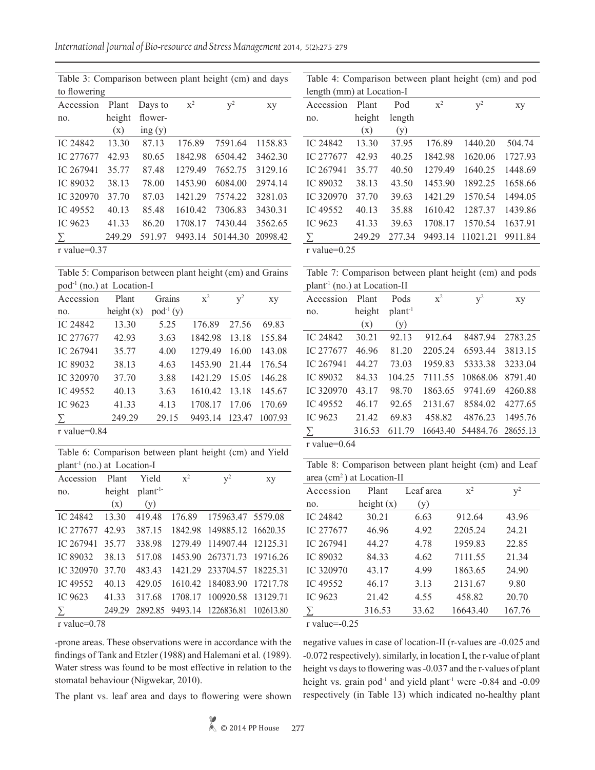*International Journal of Bio-resource and Stress Management* 2014, 5(2):275-279

Table 3: Comparison between plant height (cm) and days to flowering Accession no. Plant height (x) Days to flowering (y)  $x^2$   $y^2$  xy IC 24842 13.30 87.13 176.89 7591.64 1158.83 IC 277677 42.93 80.65 1842.98 6504.42 3462.30 IC 267941 35.77 87.48 1279.49 7652.75 3129.16 IC 89032 38.13 78.00 1453.90 6084.00 2974.14 IC 320970 37.70 87.03 1421.29 7574.22 3281.03 IC 49552 40.13 85.48 1610.42 7306.83 3430.31 IC 9623 41.33 86.20 1708.17 7430.44 3562.65 ∑ 249.29 591.97 9493.14 50144.30 20998.42 r value=0.37

Table 5: Comparison between plant height (cm) and Grains pod-1 (no.) at Location-I

| Accession                                           | Plant        | Grains        | $x^2$   | $v^2$  | xy      |
|-----------------------------------------------------|--------------|---------------|---------|--------|---------|
| no.                                                 | height $(x)$ | $pod^{-1}(y)$ |         |        |         |
| IC 24842                                            | 13.30        | 5.25          | 176.89  | 27.56  | 69.83   |
| IC 277677                                           | 42.93        | 3.63          | 1842.98 | 13.18  | 155.84  |
| IC 267941                                           | 35.77        | 4.00          | 1279.49 | 16.00  | 143.08  |
| IC 89032                                            | 38.13        | 4.63          | 1453.90 | 21.44  | 176.54  |
| IC 320970                                           | 37.70        | 3.88          | 1421.29 | 15.05  | 146.28  |
| IC 49552                                            | 40.13        | 3.63          | 1610.42 | 13.18  | 145.67  |
| IC 9623                                             | 41.33        | 4.13          | 1708.17 | 17.06  | 170.69  |
| $\sum$                                              | 249.29       | 29.15         | 9493.14 | 123.47 | 1007.93 |
| $r \cdot r \cdot 1 \cdot r \cdot 0 \cdot 0 \cdot 0$ |              |               |         |        |         |

r value=0.84

Table 6: Comparison between plant height (cm) and Yield plant-1 (no.) at Location-I

| Accession | Plant  | Yield                | $\mathbf{x}^2$ | $\rm V^2$                  | xy        |
|-----------|--------|----------------------|----------------|----------------------------|-----------|
| no.       | height | plant <sup>-1-</sup> |                |                            |           |
|           | (x)    | (y)                  |                |                            |           |
| IC 24842  | 13.30  | 419.48               | 17689          | 175963.47 5579.08          |           |
| IC 277677 | 42.93  | 387.15               |                | 1842.98 149885.12 16620.35 |           |
| IC 267941 | 35.77  | 338.98               | 127949         | 114907.44 12125.31         |           |
| IC 89032  | 38.13  | 517.08               |                | 1453.90 267371.73 19716.26 |           |
| IC 320970 | 37.70  | 483.43               |                | 1421.29 233704.57 18225.31 |           |
| IC 49552  | 40.13  | 429.05               |                | 1610.42 184083.90 17217.78 |           |
| IC 9623   | 41.33  | 317.68               | 1708 17        | 100920.58 13129.71         |           |
|           | 249.29 | 289285               |                | 9493.14 1226836.81         | 102613.80 |

r value=0.78

-prone areas. These observations were in accordance with the findings of Tank and Etzler (1988) and Halemani et al*.* (1989). Water stress was found to be most effective in relation to the stomatal behaviour (Nigwekar, 2010).

The plant vs. leaf area and days to flowering were shown

Table 4: Comparison between plant height (cm) and pod length (mm) at Location-I

| ICIIGUI (IIIIII) at LOCAUOII-I |        |        |         |          |         |
|--------------------------------|--------|--------|---------|----------|---------|
| Accession                      | Plant  | Pod    | $x^2$   | $y^2$    | xy      |
| no.                            | height | length |         |          |         |
|                                | (x)    | (y)    |         |          |         |
| IC 24842                       | 13.30  | 37.95  | 176.89  | 1440.20  | 504.74  |
| IC 277677                      | 42.93  | 40.25  | 1842.98 | 1620.06  | 1727.93 |
| IC 267941                      | 35.77  | 40.50  | 1279.49 | 1640.25  | 1448.69 |
| <b>IC 89032</b>                | 38.13  | 43.50  | 1453.90 | 1892.25  | 1658.66 |
| IC 320970                      | 37.70  | 39.63  | 1421.29 | 1570.54  | 1494.05 |
| IC 49552                       | 40.13  | 35.88  | 1610.42 | 1287.37  | 1439.86 |
| IC 9623                        | 41.33  | 39.63  | 1708.17 | 1570.54  | 1637.91 |
| Σ                              | 249.29 | 277.34 | 9493.14 | 11021.21 | 9911.84 |
| r value= $0.25$                |        |        |         |          |         |

Table 7: Comparison between plant height (cm) and pods plant-1 (no.) at Location-II

| л.             |        |                     |          |          |          |
|----------------|--------|---------------------|----------|----------|----------|
| Accession      | Plant  | Pods                | $x^2$    | $v^2$    | xy       |
| no.            | height | plant <sup>-1</sup> |          |          |          |
|                | (x)    | (y)                 |          |          |          |
| IC 24842       | 30.21  | 92.13               | 912.64   | 8487.94  | 2783.25  |
| IC 277677      | 46.96  | 81.20               | 2205.24  | 6593.44  | 3813.15  |
| IC 267941      | 44.27  | 73.03               | 1959.83  | 5333.38  | 3233.04  |
| IC 89032       | 84.33  | 104.25              | 7111.55  | 10868.06 | 8791.40  |
| IC 320970      | 43.17  | 98.70               | 1863.65  | 9741.69  | 4260.88  |
| IC 49552       | 46.17  | 92.65               | 2131.67  | 8584.02  | 4277.65  |
| IC 9623        | 21.42  | 69.83               | 458.82   | 4876.23  | 1495.76  |
| $\sum$         | 316.53 | 611.79              | 16643.40 | 54484.76 | 28655.13 |
| $r$ volue-0.64 |        |                     |          |          |          |

r value=0.64

Table 8: Comparison between plant height (cm) and Leaf area (cm2 ) at Location-II

| $u\mathcal{U}$<br>$\mu$ at Location 11 |              |           |                |           |  |  |  |
|----------------------------------------|--------------|-----------|----------------|-----------|--|--|--|
| Accession                              | Plant        | Leaf area | $\mathbf{x}^2$ | $\rm v^2$ |  |  |  |
| no.                                    | height $(x)$ | (y)       |                |           |  |  |  |
| IC 24842                               | 30.21        | 6.63      | 912.64         | 43.96     |  |  |  |
| IC 277677                              | 46.96        | 4.92      | 2205.24        | 24.21     |  |  |  |
| IC 267941                              | 44.27        | 4.78      | 1959.83        | 22.85     |  |  |  |
| IC 89032                               | 84.33        | 4.62      | 7111.55        | 21.34     |  |  |  |
| IC 320970                              | 43.17        | 4.99      | 1863.65        | 24.90     |  |  |  |
| IC 49552                               | 46.17        | 3.13      | 2131.67        | 9.80      |  |  |  |
| IC 9623                                | 21.42        | 4.55      | 458.82         | 20.70     |  |  |  |
|                                        | 316.53       | 33.62     | 16643.40       | 167.76    |  |  |  |

r value=-0.25

negative values in case of location-II (r-values are -0.025 and -0.072 respectively). similarly, in location I, the r-value of plant height vs days to flowering was -0.037 and the r-values of plant height vs. grain  $pod^{-1}$  and yield plant<sup>-1</sup> were  $-0.84$  and  $-0.09$ respectively (in Table 13) which indicated no-healthy plant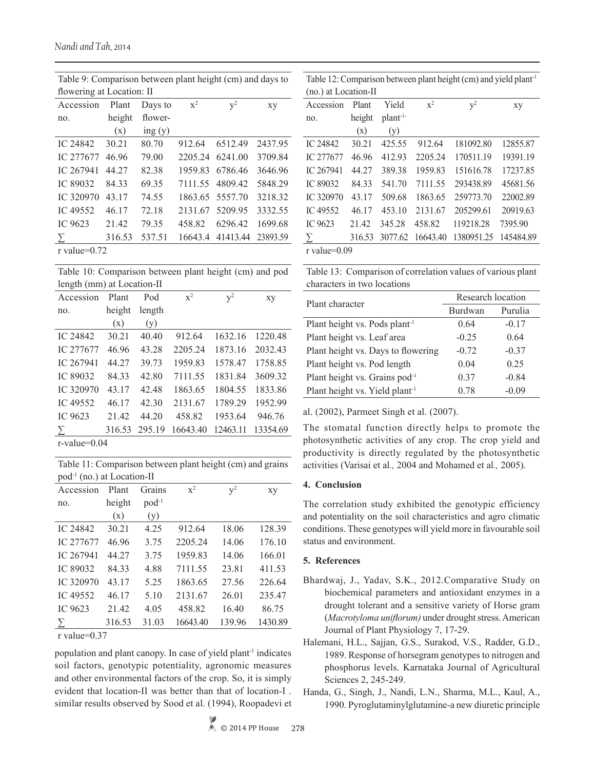| $\ldots$ , and $\ldots$ are a set $\ldots$ and $\ldots$ because $\ldots$ and $\ldots$ and $\ldots$ and $\ldots$ |                           |         |         |                  |          |  |  |
|-----------------------------------------------------------------------------------------------------------------|---------------------------|---------|---------|------------------|----------|--|--|
|                                                                                                                 | flowering at Location: II |         |         |                  |          |  |  |
| Accession                                                                                                       | Plant                     | Days to | $x^2$   | $v^2$            | xy       |  |  |
| no.                                                                                                             | height                    | flower- |         |                  |          |  |  |
|                                                                                                                 | (x)                       | ing(y)  |         |                  |          |  |  |
| IC 24842                                                                                                        | 30.21                     | 80.70   | 912.64  | 6512.49          | 2437.95  |  |  |
| IC 277677                                                                                                       | 46.96                     | 79.00   | 2205.24 | 6241.00          | 3709.84  |  |  |
| IC 267941                                                                                                       | 44.27                     | 82.38   | 1959.83 | 6786.46          | 3646.96  |  |  |
| IC 89032                                                                                                        | 84.33                     | 69.35   |         | 7111.55 4809.42  | 5848.29  |  |  |
| IC 320970                                                                                                       | 43.17                     | 74.55   |         | 1863.65 5557.70  | 3218.32  |  |  |
| IC 49552                                                                                                        | 46.17                     | 72.18   | 2131.67 | 5209.95          | 3332.55  |  |  |
| IC 9623                                                                                                         | 21.42                     | 79.35   | 458.82  | 6296.42          | 1699.68  |  |  |
| Σ                                                                                                               | 316.53                    | 537.51  |         | 16643.4 41413.44 | 23893.59 |  |  |
| r value= $0.72$                                                                                                 |                           |         |         |                  |          |  |  |

Table 9: Comparison between plant height (cm) and days to

Table 10: Comparison between plant height (cm) and pod length (mm) at Location-II

| Accession      | Plant  | Pod    | $x^2$    | $v^2$    | xy       |
|----------------|--------|--------|----------|----------|----------|
| no.            | height | length |          |          |          |
|                | (x)    | (y)    |          |          |          |
| IC 24842       | 30.21  | 40.40  | 912.64   | 1632.16  | 1220.48  |
| IC 277677      | 46.96  | 43.28  | 2205.24  | 1873.16  | 2032.43  |
| IC 267941      | 44.27  | 39.73  | 1959.83  | 1578.47  | 1758.85  |
| IC 89032       | 84.33  | 42.80  | 7111.55  | 1831.84  | 3609.32  |
| IC 320970      | 43.17  | 42.48  | 1863.65  | 1804.55  | 1833.86  |
| IC 49552       | 46.17  | 42.30  | 2131.67  | 1789.29  | 1952.99  |
| IC 9623        | 21.42  | 44.20  | 458.82   | 1953.64  | 946.76   |
| $\sum$         | 316.53 | 295.19 | 16643.40 | 12463.11 | 13354.69 |
| $r$ volue-0.04 |        |        |          |          |          |

r-value=0.04

Table 11: Comparison between plant height (cm) and grains pod-1 (no.) at Location-II

| л.<br>,<br>Accession | Plant  | Grains     | $x^2$    | $v^2$  | xy      |
|----------------------|--------|------------|----------|--------|---------|
| no.                  | height | $pod^{-1}$ |          |        |         |
|                      | (x)    | (y)        |          |        |         |
| IC 24842             | 30.21  | 4.25       | 912.64   | 18.06  | 128.39  |
| IC 277677            | 46.96  | 3.75       | 2205.24  | 14.06  | 176.10  |
| IC 267941            | 44.27  | 3.75       | 1959.83  | 14.06  | 166.01  |
| IC 89032             | 8433   | 4.88       | 7111.55  | 23.81  | 411.53  |
| IC 320970            | 43.17  | 5.25       | 1863.65  | 27.56  | 226.64  |
| IC 49552             | 46.17  | 5.10       | 2131.67  | 26.01  | 235.47  |
| IC 9623              | 21.42  | 4.05       | 458.82   | 16.40  | 86.75   |
| Σ                    | 316.53 | 31.03      | 16643.40 | 139.96 | 1430.89 |

r value=0.37

population and plant canopy. In case of yield plant<sup>-1</sup> indicates soil factors, genotypic potentiality, agronomic measures and other environmental factors of the crop. So, it is simply evident that location-II was better than that of location-I . similar results observed by Sood et al. (1994), Roopadevi et

Table 12: Comparison between plant height (cm) and yield plant-1 (no.) at Location-II Accession no. Plant height (x) Yield plant-1- (y)  $x^2$   $y^2$  xy IC 24842 30.21 425.55 912.64 181092.80 12855.87 IC 277677 46.96 412.93 2205.24 170511.19 19391.19 IC 267941 44.27 389.38 1959.83 151616.78 17237.85 IC 89032 84.33 541.70 7111.55 293438.89 45681.56 IC 320970 43.17 509.68 1863.65 259773.70 22002.89 IC 49552 46.17 453.10 2131.67 205299.61 20919.63 IC 9623 21.42 345.28 458.82 119218.28 7395.90 ∑ 316.53 3077.62 16643.40 1380951.25 145484.89 r value=0.09

Table 13: Comparison of correlation values of various plant characters in two locations

| Plant character                            | Research location |         |  |
|--------------------------------------------|-------------------|---------|--|
|                                            | Burdwan           | Purulia |  |
| Plant height vs. Pods plant <sup>-1</sup>  | 0.64              | $-0.17$ |  |
| Plant height vs. Leaf area                 | $-0.25$           | 0.64    |  |
| Plant height vs. Days to flowering         | $-0.72$           | $-0.37$ |  |
| Plant height vs. Pod length                | 0.04              | 0.25    |  |
| Plant height vs. Grains pod-1              | 0.37              | $-0.84$ |  |
| Plant height vs. Yield plant <sup>-1</sup> | 0.78              | $-0.09$ |  |

al. (2002), Parmeet Singh et al. (2007).

The stomatal function directly helps to promote the photosynthetic activities of any crop. The crop yield and productivity is directly regulated by the photosynthetic activities (Varisai et al*.,* 2004 and Mohamed et al*.,* 2005).

## **4. Conclusion**

The correlation study exhibited the genotypic efficiency and potentiality on the soil characteristics and agro climatic conditions. These genotypes will yield more in favourable soil status and environment.

## **5. References**

- Bhardwaj, J., Yadav, S.K., 2012.Comparative Study on biochemical parameters and antioxidant enzymes in a drought tolerant and a sensitive variety of Horse gram (*Macrotyloma uniflorum)* under drought stress. American Journal of Plant Physiology 7, 17-29.
- Halemani, H.L., Sajjan, G.S., Surakod, V.S., Radder, G.D., 1989. Response of horsegram genotypes to nitrogen and phosphorus levels. Karnataka Journal of Agricultural Sciences 2, 245-249.
- Handa, G., Singh, J., Nandi, L.N., Sharma, M.L., Kaul, A., 1990. Pyroglutaminylglutamine-a new diuretic principle